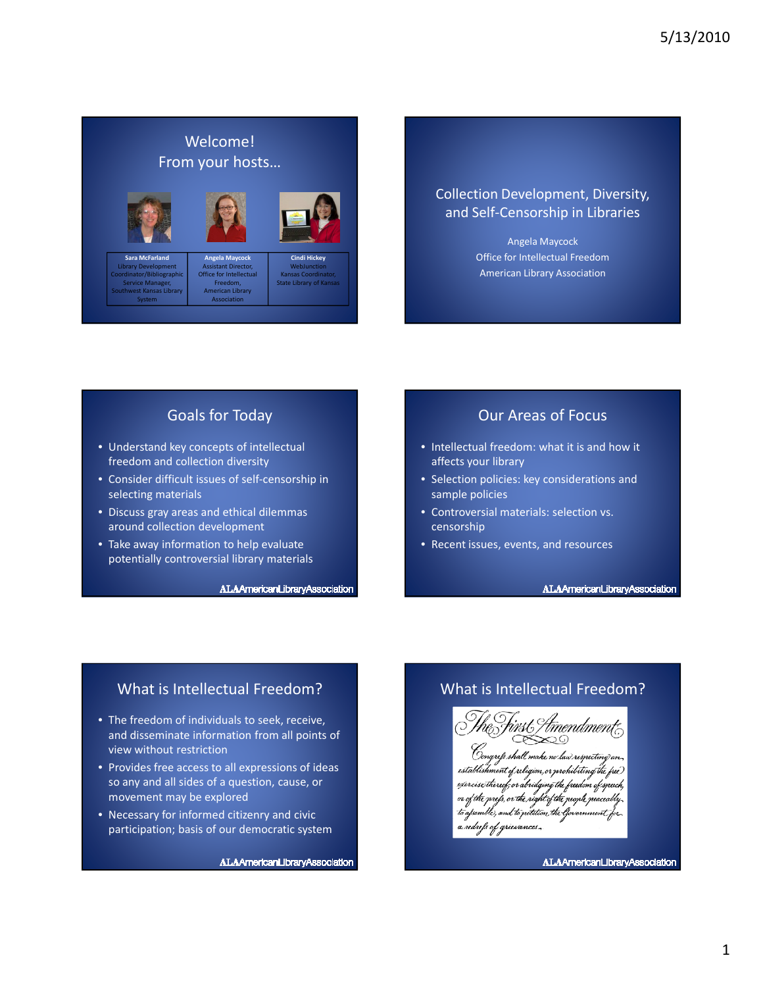# Welcome! From your hosts…



Sara McFarla Library Development



Angela Maycock

pliographi Service Manager, est Kansas Library System

Assistant Director, Office for Intellectual Freedom, American Library Association WebJunction Kansas Coo State Library of Kansas

Cindi Hickey

# Collection Development, Diversity, and Self-Censorship in Libraries

Angela Maycock Office for Intellectual Freedom American Library Association

# Goals for Today

- Understand key concepts of intellectual freedom and collection diversity
- Consider difficult issues of self-censorship in selecting materials
- Discuss gray areas and ethical dilemmas around collection development
- Take away information to help evaluate potentially controversial library materials

ALAAmericanLibraryAssociation

#### Our Areas of Focus

- Intellectual freedom: what it is and how it affects your library
- Selection policies: key considerations and sample policies
- Controversial materials: selection vs. censorship
- Recent issues, events, and resources

ALAAmericanLibraryAssociation

# What is Intellectual Freedom?

- The freedom of individuals to seek, receive, and disseminate information from all points of view without restriction
- Provides free access to all expressions of ideas so any and all sides of a question, cause, or movement may be explored
- Necessary for informed citizenry and civic participation; basis of our democratic system

ALAAmericanLibraryAssociation

# What is Intellectual Freedom?

'tmendment: ≫⊙ shall.make.no law`re n,or prohibiting the free T nre*ls.* or <del>th</del>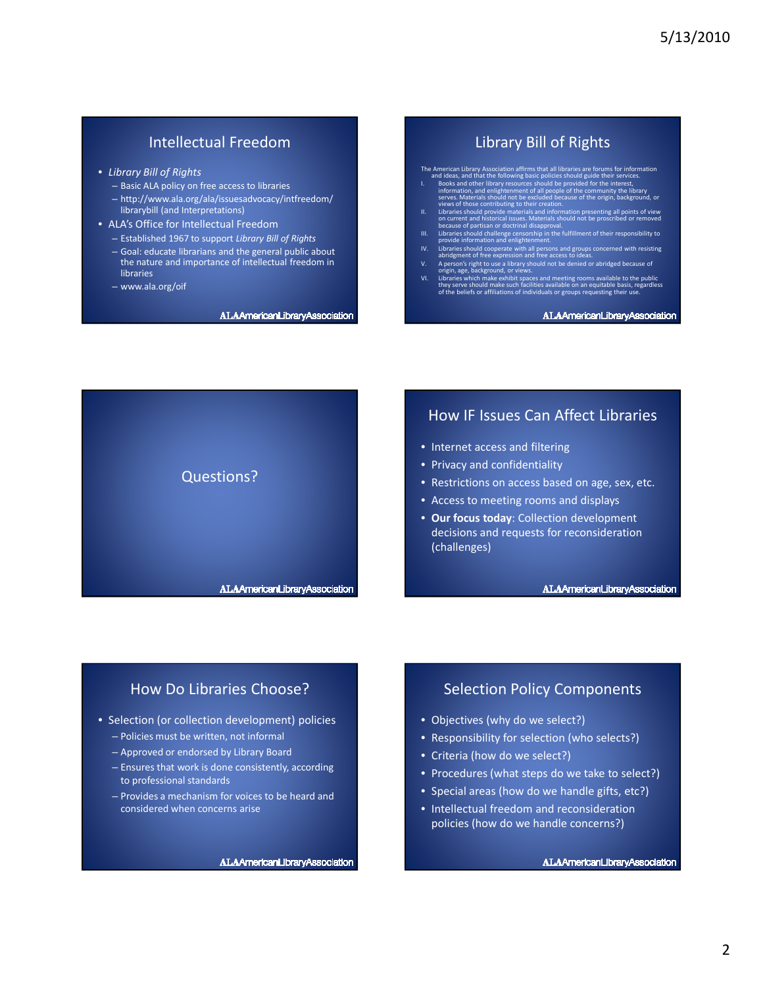# Intellectual Freedom

- Library Bill of Rights
	- Basic ALA policy on free access to libraries
	- http://www.ala.org/ala/issuesadvocacy/intfreedom/ librarybill (and Interpretations)
- ALA's Office for Intellectual Freedom
	- Established 1967 to support Library Bill of Rights
	- Goal: educate librarians and the general public about the nature and importance of intellectual freedom in libraries
	- www.ala.org/oif

ALAAmericanLibraryAssociation

#### Library Bill of Rights

- The American Library Association affirms that all libraries are forums for information<br>and ideas, and that the following basic policies should guide their services.<br>I. Books and other library resources should be provided f
- 
- 
- 
- 
- 
- - ALAAmericanLibraryAssociation



#### How IF Issues Can Affect Libraries

- Internet access and filtering
- Privacy and confidentiality
- Restrictions on access based on age, sex, etc.
- Access to meeting rooms and displays
- Our focus today: Collection development decisions and requests for reconsideration (challenges)

ALAAmericanLibraryAssociation

## How Do Libraries Choose?

- Selection (or collection development) policies
	- Policies must be written, not informal
	- Approved or endorsed by Library Board
	- Ensures that work is done consistently, according to professional standards
	- Provides a mechanism for voices to be heard and considered when concerns arise

ALAAmericanLibraryAssociation

## Selection Policy Components

- Objectives (why do we select?)
- Responsibility for selection (who selects?)
- Criteria (how do we select?)
- Procedures (what steps do we take to select?)
- Special areas (how do we handle gifts, etc?)
- Intellectual freedom and reconsideration policies (how do we handle concerns?)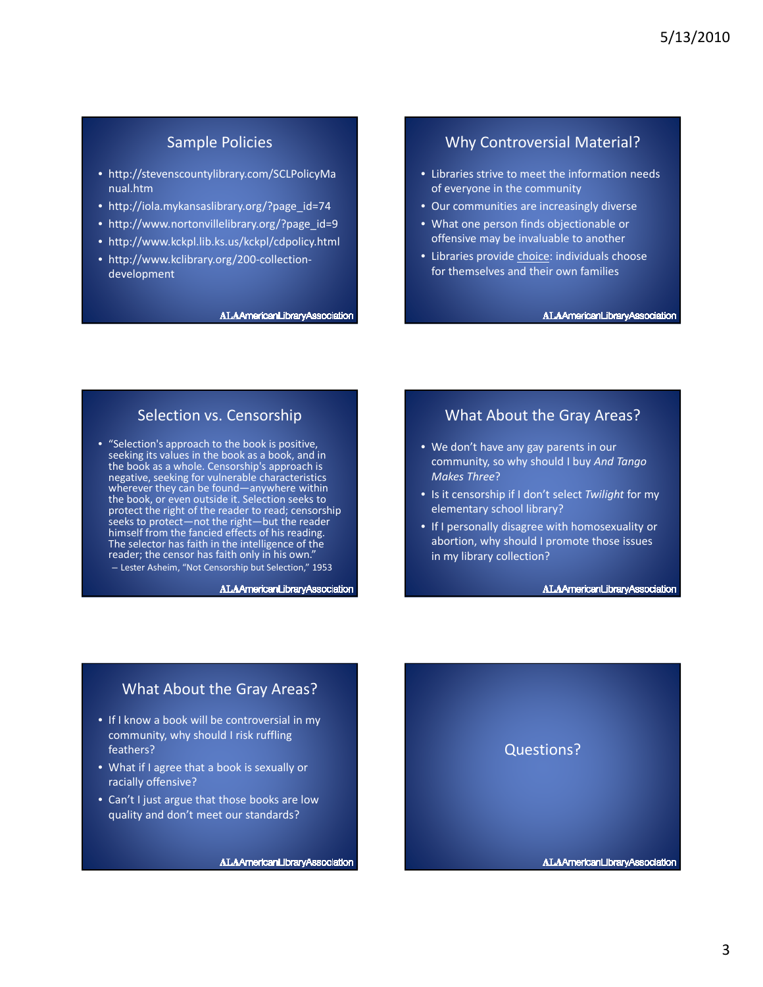## Sample Policies

- http://stevenscountylibrary.com/SCLPolicyMa nual.htm
- http://iola.mykansaslibrary.org/?page\_id=74
- http://www.nortonvillelibrary.org/?page\_id=9
- http://www.kckpl.lib.ks.us/kckpl/cdpolicy.html
- http://www.kclibrary.org/200-collectiondevelopment

#### ALAAmericanLibraryAssociation

#### Why Controversial Material?

- Libraries strive to meet the information needs of everyone in the community
- Our communities are increasingly diverse
- What one person finds objectionable or offensive may be invaluable to another
- Libraries provide choice: individuals choose for themselves and their own families

#### ALAAmericanLibraryAssociation

#### Selection vs. Censorship

• "Selection's approach to the book is positive, seeking its values in the book as a book, and in the book as a whole. Censorship's approach is negative, seeking for vulnerable characteristics wherever they can be found—anywhere within the book, or even outside it. Selection seeks to protect the right of the reader to read; censorship seeks to protect—not the right—but the reader himself from the fancied effects of his reading. The selector has faith in the intelligence of the reader; the censor has faith only in his own." – Lester Asheim, "Not Censorship but Selection," 1953

ALAAmericanLibraryAssociation

#### What About the Gray Areas?

- We don't have any gay parents in our community, so why should I buy And Tango Makes Three?
- Is it censorship if I don't select Twilight for my elementary school library?
- If I personally disagree with homosexuality or abortion, why should I promote those issues in my library collection?

#### ALAAmericanLibraryAssociation

#### What About the Gray Areas?

- If I know a book will be controversial in my community, why should I risk ruffling feathers?
- What if I agree that a book is sexually or racially offensive?
- Can't I just argue that those books are low quality and don't meet our standards?

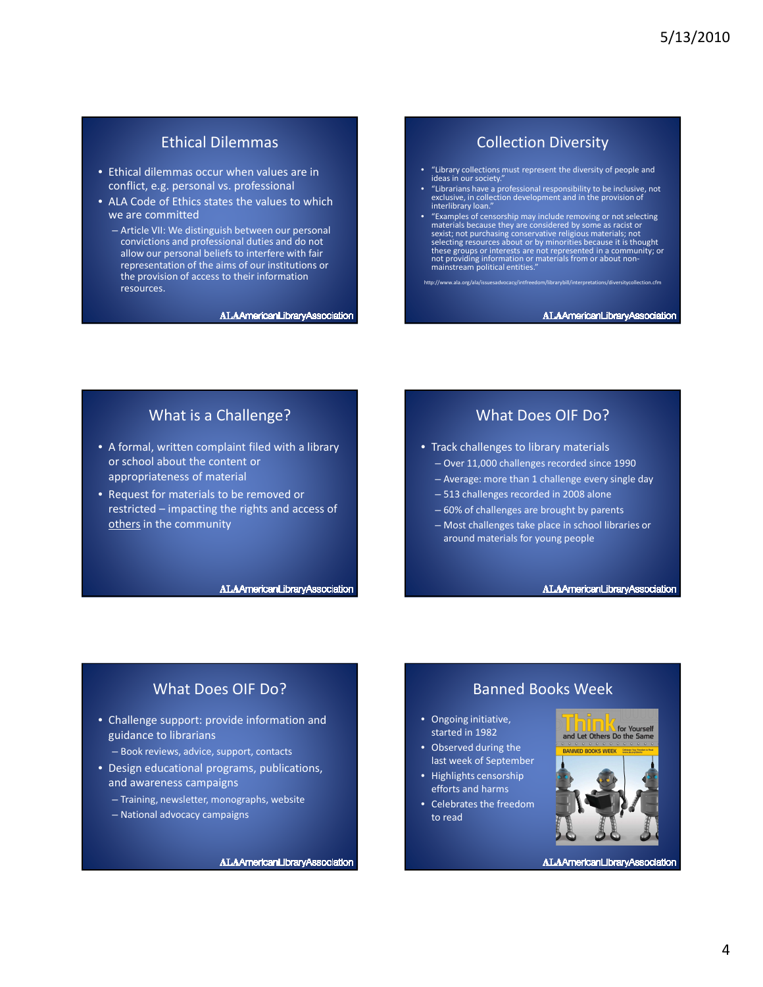# Ethical Dilemmas

- Ethical dilemmas occur when values are in conflict, e.g. personal vs. professional
- ALA Code of Ethics states the values to which we are committed
	- Article VII: We distinguish between our personal convictions and professional duties and do not allow our personal beliefs to interfere with fair representation of the aims of our institutions or the provision of access to their information resources.

ALAAmericanLibraryAssociation

### Collection Diversity

- "Library collections must represent the diversity of people and ideas in our society.
- "Librarians have a professional responsibility to be inclusive, not exclusive, in collection development and in the provision of interlibrary loan.
- "Examples of censorship may include removing or not selecting<br>materials because they are considered by some as racist or<br>sexist; not purchasing conservative religious materials; not<br>selecting resources about or by minori

http://www.ala.org/ala/issuesadvocacy/intfreedom/librarybill/interpretations/diversitycollection.cfm

#### ALAAmericanLibraryAssociation

#### What is a Challenge?

- A formal, written complaint filed with a library or school about the content or appropriateness of material
- Request for materials to be removed or restricted – impacting the rights and access of others in the community

ALAAmericanLibraryAssociation

#### What Does OIF Do?

- Track challenges to library materials
	- Over 11,000 challenges recorded since 1990
	- Average: more than 1 challenge every single day
	- 513 challenges recorded in 2008 alone
	- 60% of challenges are brought by parents
	- Most challenges take place in school libraries or around materials for young people

ALAAmericanLibraryAssociation

## What Does OIF Do?

- Challenge support: provide information and guidance to librarians
	- Book reviews, advice, support, contacts
- Design educational programs, publications, and awareness campaigns
	- Training, newsletter, monographs, website
	- National advocacy campaigns

ALAAmericanLibraryAssociation

#### Banned Books Week

- Ongoing initiative, started in 1982
- Observed during the last week of September
- Highlights censorship efforts and harms
- Celebrates the freedom to read

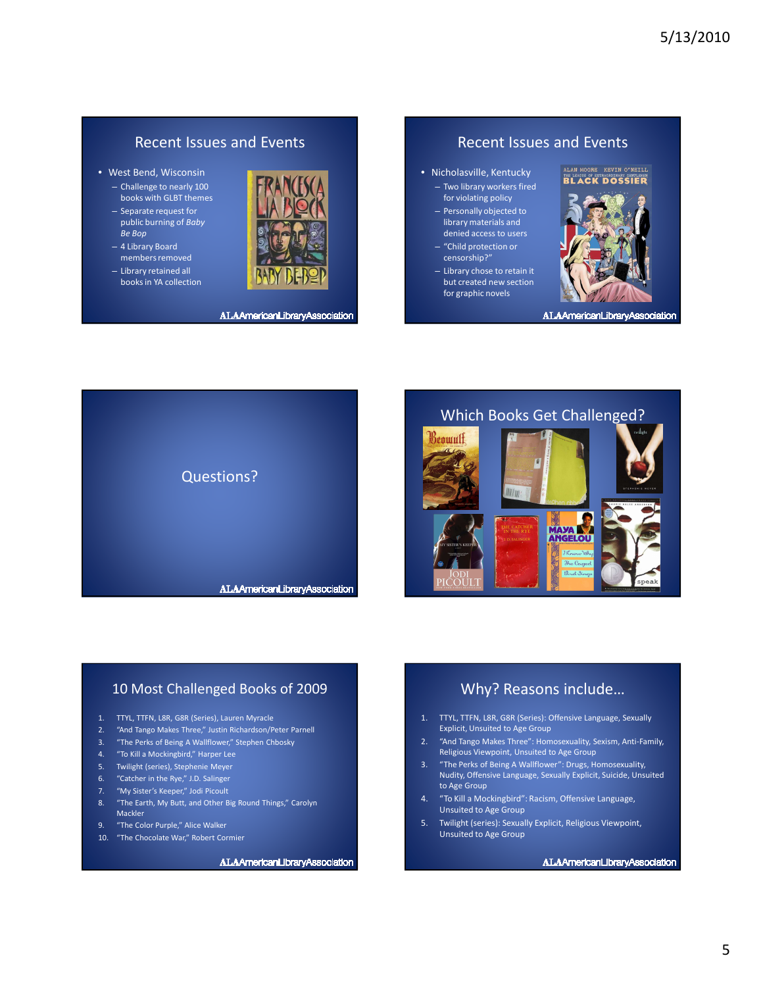#### Recent Issues and Events

- West Bend, Wisconsin
	- Challenge to nearly 100 books with GLBT themes
	- Separate request for public burning of Baby Be Bop
	- 4 Library Board members removed
	- Library retained all books in YA collection



ALAAmericanLibraryAssociation

## Recent Issues and Events

- Nicholasville, Kentucky – Two library workers fired for violating policy
	- Personally objected to library materials and denied access to users – "Child protection or
	- censorship?"
	- Library chose to retain it but created new section for graphic novels

# ALAN MOORE KEVIN O'NEILL<br>THE LEAGUE OF EXTRONDINANT GENTLENEN<br>BLACK DOSSIER



ALAAmericanLibraryAssociation



## Which Books Get Challenged?



#### 10 Most Challenged Books of 2009

- 1. TTYL, TTFN, L8R, G8R (Series), Lauren Myracle
- 2. "And Tango Makes Three," Justin Richardson/Peter Parnell
- 3. "The Perks of Being A Wallflower," Stephen Chbosky
- 4. "To Kill a Mockingbird," Harper Lee
- 5. Twilight (series), Stephenie Meyer
- 6. "Catcher in the Rye," J.D. Salinger
- 7. "My Sister's Keeper," Jodi Picoult
- 8. "The Earth, My Butt, and Other Big Round Things," Carolyn Mackler
- 9. "The Color Purple," Alice Walker
- 10. "The Chocolate War," Robert Cormier

ALAAmericanLibraryAssociation

## Why? Reasons include…

- 1. TTYL, TTFN, L8R, G8R (Series): Offensive Language, Sexually Explicit, Unsuited to Age Group
- 2. "And Tango Makes Three": Homosexuality, Sexism, Anti-Family, Religious Viewpoint, Unsuited to Age Group
- 3. "The Perks of Being A Wallflower": Drugs, Homosexuality, Nudity, Offensive Language, Sexually Explicit, Suicide, Unsuited to Age Group
- 4. "To Kill a Mockingbird": Racism, Offensive Language, Unsuited to Age Group
- 5. Twilight (series): Sexually Explicit, Religious Viewpoint, Unsuited to Age Group